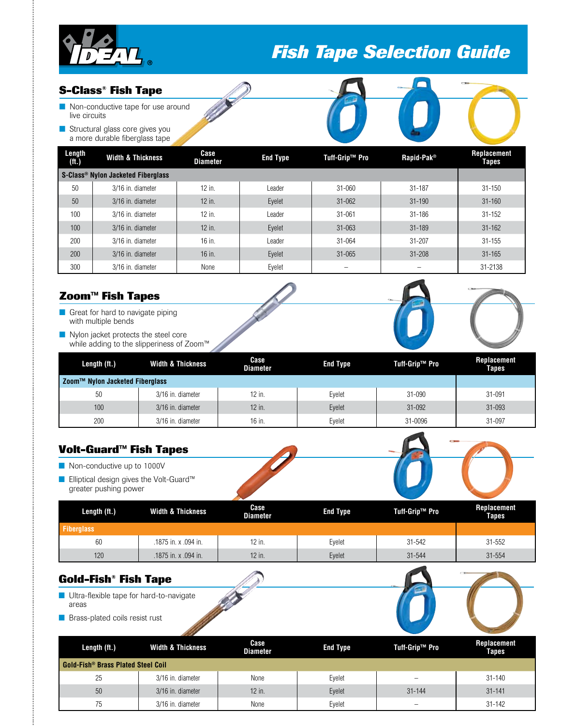

# *Fish Tape Selection Guide*

### **S-Class® Fish Tape**

- **n** Non-conductive tape for use around live circuits
- Structural glass core gives you a more durable fiberglass tape

| Length<br>(ft.) | <b>Width &amp; Thickness</b>       | Case<br><b>Diameter</b> | <b>End Type</b> | Tuff-Grip™ Pro | Rapid-Pak <sup>®</sup> | <b>Replacement</b><br>Tapes |  |  |
|-----------------|------------------------------------|-------------------------|-----------------|----------------|------------------------|-----------------------------|--|--|
|                 | S-Class® Nylon Jacketed Fiberglass |                         |                 |                |                        |                             |  |  |
| 50              | 3/16 in. diameter                  | 12 in.                  | Leader          | $31 - 060$     | $31 - 187$             | $31 - 150$                  |  |  |
| 50              | 3/16 in. diameter                  | 12 in.                  | Eyelet          | $31 - 062$     | $31 - 190$             | $31 - 160$                  |  |  |
| 100             | 3/16 in. diameter                  | 12 in.                  | Leader          | $31 - 061$     | $31 - 186$             | $31 - 152$                  |  |  |
| 100             | 3/16 in. diameter                  | $12$ in.                | Eyelet          | $31 - 063$     | $31 - 189$             | $31 - 162$                  |  |  |
| 200             | 3/16 in. diameter                  | 16 in.                  | Leader          | 31-064         | $31 - 207$             | $31 - 155$                  |  |  |
| 200             | 3/16 in. diameter                  | 16 in.                  | Eyelet          | $31 - 065$     | $31 - 208$             | $31 - 165$                  |  |  |
| 300             | 3/16 in. diameter                  | None                    | Evelet          |                |                        | 31-2138                     |  |  |

## **Zoom™ Fish Tapes**

- **n** Great for hard to navigate piping with multiple bends
- Nylon jacket protects the steel core while adding to the slipperiness of Zoom™

| Length (ft.)                    | <b>Width &amp; Thickness</b> | Case<br><b>Diameter</b> | <b>End Type</b> | Tuff-Grip™ Pro | Replacement<br><b>Tapes</b> |
|---------------------------------|------------------------------|-------------------------|-----------------|----------------|-----------------------------|
| Zoom™ Nylon Jacketed Fiberglass |                              |                         |                 |                |                             |
| 50                              | 3/16 in. diameter            | 12 in.                  | Eyelet          | 31-090         | 31-091                      |
| 100 <sup>°</sup>                | 3/16 in. diameter            | $12$ in.                | Eyelet          | 31-092         | $31 - 093$                  |
| 200                             | 3/16 in. diameter            | 16 in.                  | Eyelet          | 31-0096        | 31-097                      |



| Length (ft.)      | Width & Thickness    | Case<br><b>Diameter</b> | <b>End Type</b> | Tuff-Grip™ Pro | Replacement<br><b>Tapes</b> |
|-------------------|----------------------|-------------------------|-----------------|----------------|-----------------------------|
| <b>Fiberglass</b> |                      |                         |                 |                |                             |
| 60                | .1875 in. x .094 in. | 12 in.                  | Evelet          | 31-542         | 31-552                      |
| 120               | .1875 in. x .094 in. | $12$ in.                | Eyelet          | 31-544         | 31-554                      |

| <b>Gold-Fish® Fish Tape</b>                       |                              |                         |                 |                |                             |
|---------------------------------------------------|------------------------------|-------------------------|-----------------|----------------|-----------------------------|
| Ultra-flexible tape for hard-to-navigate<br>areas |                              |                         |                 |                |                             |
| <b>B</b> Brass-plated coils resist rust           |                              |                         |                 |                |                             |
| Length (ft.)                                      | <b>Width &amp; Thickness</b> | Case<br><b>Diameter</b> | <b>End Type</b> | Tuff-Grip™ Pro | Replacement<br><b>Tapes</b> |
|                                                   |                              |                         |                 |                |                             |

|                                                      |                   | ришест | ----   |                          | rapes      |  |  |
|------------------------------------------------------|-------------------|--------|--------|--------------------------|------------|--|--|
| <b>Gold-Fish<sup>®</sup> Brass Plated Steel Coil</b> |                   |        |        |                          |            |  |  |
| 25                                                   | 3/16 in. diameter | None   | Eyelet | $\overline{\phantom{m}}$ | $31 - 140$ |  |  |
| 50                                                   | 3/16 in. diameter | 12 in. | Eyelet | $31 - 144$               | $31 - 141$ |  |  |
| 75                                                   | 3/16 in. diameter | None   | Evelet | $\overline{\phantom{0}}$ | $31 - 142$ |  |  |
|                                                      |                   |        |        |                          |            |  |  |



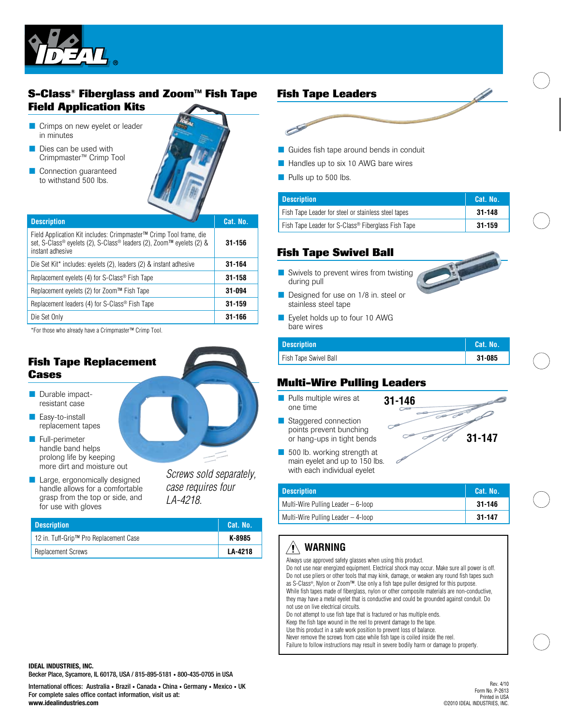

## **S-Class® Fiberglass and Zoom™ Fish Tape Field Application Kits**

- **n** Crimps on new eyelet or leader in minutes
- $\blacksquare$  Dies can be used with Crimpmaster™ Crimp Tool
- Connection guaranteed to withstand 500 lbs.



| <b>Description</b>                                                                                                                                             | Cat. No. |
|----------------------------------------------------------------------------------------------------------------------------------------------------------------|----------|
| Field Application Kit includes: Crimpmaster™ Crimp Tool frame, die<br>set, S-Class® eyelets (2), S-Class® leaders (2), Zoom™ eyelets (2) &<br>instant adhesive | 31-156   |
| Die Set Kit* includes: eyelets (2), leaders (2) & instant adhesive                                                                                             | 31-164   |
| Replacement eyelets (4) for S-Class® Fish Tape                                                                                                                 | 31-158   |
| Replacement eyelets (2) for Zoom™ Fish Tape                                                                                                                    | 31-094   |
| Replacement leaders (4) for S-Class® Fish Tape                                                                                                                 | 31-159   |
| Die Set Only                                                                                                                                                   | 31-166   |

\*For those who already have a Crimpmaster™ Crimp Tool.

## **Fish Tape Replacement Cases**

- **Durable impact**resistant case
- **n** Easy-to-install replacement tapes
- **n** Full-perimeter handle band helps prolong life by keeping more dirt and moisture out
- **n** Large, ergonomically designed handle allows for a comfortable grasp from the top or side, and for use with gloves

*Screws sold separately, case requires four* 

*LA-4218.*

| <b>Description</b>                     | Cat. No. |
|----------------------------------------|----------|
| 12 in. Tuff-Grip™ Pro Replacement Case | K-8985   |
| <b>Replacement Screws</b>              | LA-4218  |

### **Fish Tape Leaders**



- $\blacksquare$  Guides fish tape around bends in conduit
- **n** Handles up to six 10 AWG bare wires
- **n** Pulls up to 500 lbs.

| <b>Description</b>                                  | Cat. No. |
|-----------------------------------------------------|----------|
| Fish Tape Leader for steel or stainless steel tapes | 31-148   |
| Fish Tape Leader for S-Class® Fiberglass Fish Tape  | 31-159   |

## **Fish Tape Swivel Ball**

- $\blacksquare$  Swivels to prevent wires from twisting during pull
- Designed for use on 1/8 in. steel or stainless steel tape
- **n** Eyelet holds up to four 10 AWG bare wires

| <b>Description</b>    | Cat. No. |
|-----------------------|----------|
| Fish Tape Swivel Ball | 31-085   |

**31-146**

### **Multi-Wire Pulling Leaders**

- **n** Pulls multiple wires at one time
- Staggered connection points prevent bunching or hang-ups in tight bends
- $\blacksquare$  500 lb. working strength at main eyelet and up to 150 lbs. with each individual eyelet

| <b>Description</b>                 | Cat. No. |
|------------------------------------|----------|
| Multi-Wire Pulling Leader – 6-loop | 31-146   |
| Multi-Wire Pulling Leader – 4-loop | 31-147   |

#### **WARNING** $\backslash ! \backslash$

Always use approved safety glasses when using this product. Do not use near energized equipment. Electrical shock may occur. Make sure all power is off. Do not use pliers or other tools that may kink, damage, or weaken any round fish tapes such as S-Class®, Nylon or Zoom™. Use only a fish tape puller designed for this purpose. While fish tapes made of fiberglass, nylon or other composite materials are non-conductive, they may have a metal eyelet that is conductive and could be grounded against conduit. Do not use on live electrical circuits.

Do not attempt to use fish tape that is fractured or has multiple ends. Keep the fish tape wound in the reel to prevent damage to the tape. Use this product in a safe work position to prevent loss of balance.

Never remove the screws from case while fish tape is coiled inside the reel. Failure to follow instructions may result in severe bodily harm or damage to property.

**IDEAL INDUSTRIES, INC.** Becker Place, Sycamore, IL 60178, USA / 815-895-5181 • 800-435-0705 in USA

International offices: Australia • Brazil • Canada • China • Germany • Mexico • UK For complete sales office contact information, visit us at: **www.idealindustries.com**

Rev. 4/10 Form No. P-2613 Printed in USA ©2010 IDEAL INDUSTRIES, INC.

**31-147**

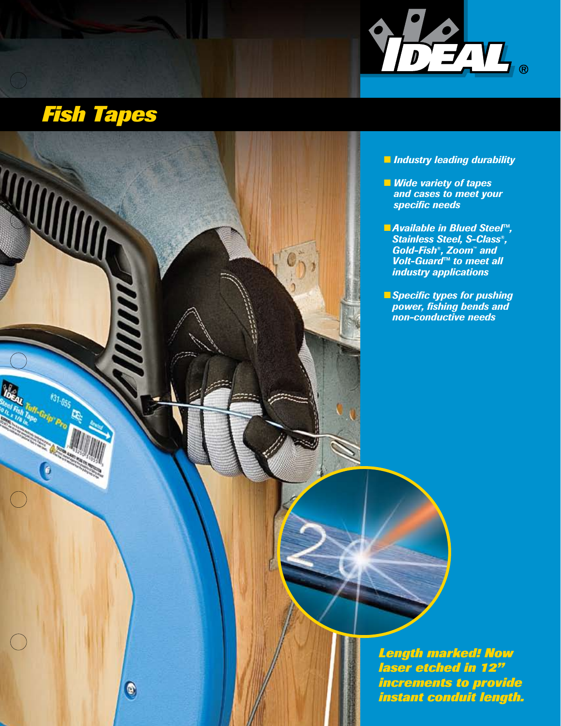

# *Fish Tapes*

 $\bigcap$ 



### n *Industry leading durability*

- $\blacksquare$  *Wide variety of tapes and cases to meet your specific needs*
- *Available in Blued Steel<sup>™</sup>, Stainless Steel, S-Class®, Gold-Fish®, Zoom™ and Volt-Guard™ to meet all industry applications*
- **nSpecific types for pushing** *power, fishing bends and non-conductive needs*

*Length marked! Now laser etched in 12" increments to provide instant conduit length.*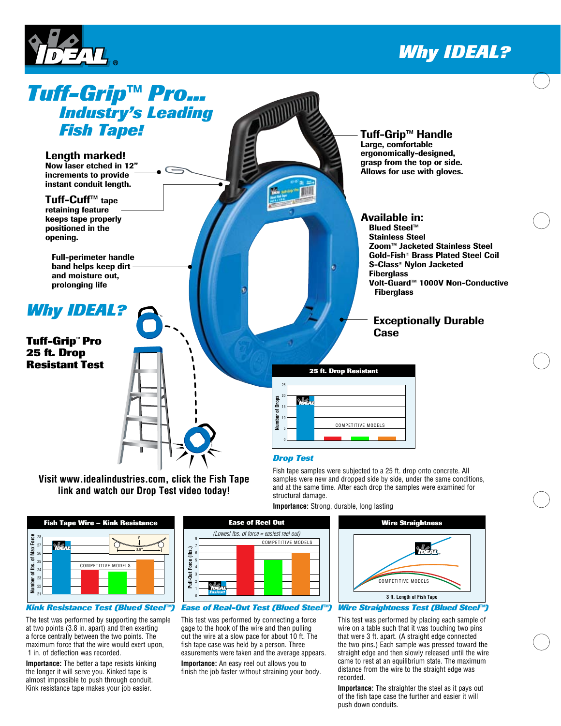

# *Why IDEAL?*



**link and watch our Drop Test video today!**



#### *Kink Resistance Test (Blued Steel™)*

The test was performed by supporting the sample at two points (3.8 in. apart) and then exerting a force centrally between the two points. The maximum force that the wire would exert upon, 1 in. of deflection was recorded.

**Importance:** The better a tape resists kinking the longer it will serve you. Kinked tape is almost impossible to push through conduit. Kink resistance tape makes your job easier.



#### *Ease of Real-Out Test (Blued Steel™)*

This test was performed by connecting a force gage to the hook of the wire and then pulling out the wire at a slow pace for about 10 ft. The fish tape case was held by a person. Three easurements were taken and the average appears.

**Importance:** An easy reel out allows you to finish the job faster without straining your body.



**Importance:** Strong, durable, long lasting

This test was performed by placing each sample of wire on a table such that it was touching two pins that were 3 ft. apart. (A straight edge connected the two pins.) Each sample was pressed toward the straight edge and then slowly released until the wire came to rest at an equilibrium state. The maximum distance from the wire to the straight edge was recorded.

**Importance:** The straighter the steel as it pays out of the fish tape case the further and easier it will push down conduits.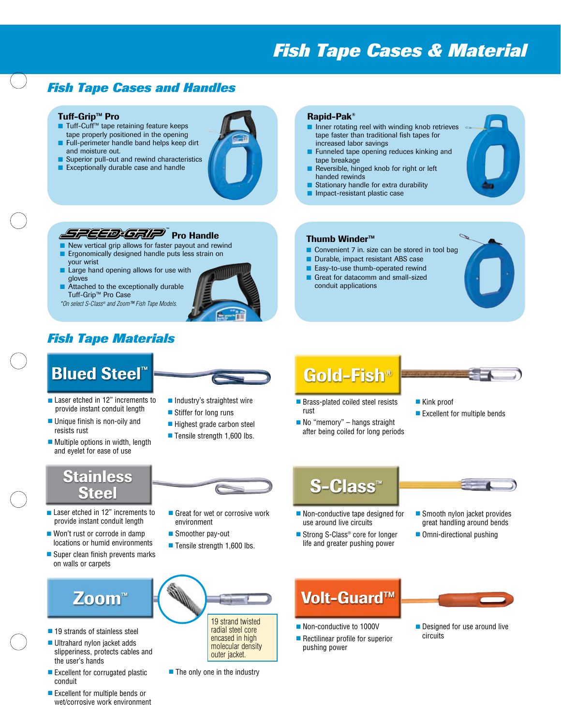# *Fish Tape Cases & Material*

## *Fish Tape Cases and Handles*

#### Tuff-Grip™ Pro

- Tuff-Cuff™ tape retaining feature keeps
- tape properly positioned in the opening ■ Full-perimeter handle band helps keep dirt
- and moisture out.
- Superior pull-out and rewind characteristics ■ Exceptionally durable case and handle



#### Rapid-Pak®

- $\blacksquare$  Inner rotating reel with winding knob retrieves tape faster than traditional fish tapes for increased labor savings
- **n** Funneled tape opening reduces kinking and tape breakage

 $\blacksquare$  Convenient 7 in. size can be stored in tool bag

- **n** Reversible, hinged knob for right or left handed rewinds
- **n** Stationary handle for extra durability

Durable, impact resistant ABS case ■ Easy-to-use thumb-operated rewind **n** Great for datacomm and small-sized

**n** Impact-resistant plastic case

Thumb Winder™

conduit applications

## Pro Handle ™

- New vertical grip allows for faster payout and rewind Ergonomically designed handle puts less strain on
- your wrist
- Large hand opening allows for use with gloves
- Attached to the exceptionally durable Tuff-Grip™ Pro Case
- *\*On select S-Class® and Zoom™ Fish Tape Models.*



## *Fish Tape Materials*

# **Blued Steel™**

- Laser etched in 12" increments to provide instant conduit length
- $\blacksquare$  Unique finish is non-oily and resists rust
- $\blacksquare$  Multiple options in width, length and eyelet for ease of use



- $\blacksquare$  Industry's straightest wire
- $\blacksquare$  Stiffer for long runs
- $\blacksquare$  Highest grade carbon steel
	- $\blacksquare$  Tensile strength 1,600 lbs.

# Gold-Fish<sup>®</sup>

- Brass-plated coiled steel resists rust
- $\blacksquare$  No "memory" hangs straight after being coiled for long periods
- $\blacksquare$  Kink proof
- 

 $\blacksquare$  Smooth nylon jacket provides great handling around bends  $\blacksquare$  Omni-directional pushing

## **Stainless Steel**

- Laser etched in 12" increments to provide instant conduit length
- $\blacksquare$  Won't rust or corrode in damp locations or humid environments
- $\blacksquare$  Super clean finish prevents marks on walls or carpets



- $\blacksquare$  19 strands of stainless steel
- Ultrahard nylon jacket adds slipperiness, protects cables and the user's hands
- $\blacksquare$  Excellent for corrugated plastic conduit
- Fxcellent for multiple bends or wet/corrosive work environment



- $\blacksquare$  Great for wet or corrosive work environment
- Smoother pay-out
- $\blacksquare$  Tensile strength 1,600 lbs.



- 
- radial steel core encased in high molecular density outer jacket.

#### $\blacksquare$  The only one in the industry

# Volt-Guard™

 $\blacksquare$  Non-conductive tape designed for use around live circuits ■ Strong S-Class<sup>®</sup> core for longer life and greater pushing power

**S-Class<sup>™</sup>** 

- Non-conductive to 1000V
- $\blacksquare$  Rectilinear profile for superior pushing power



 $\blacksquare$  Designed for use around live circuits



- - $\blacksquare$  Excellent for multiple bends